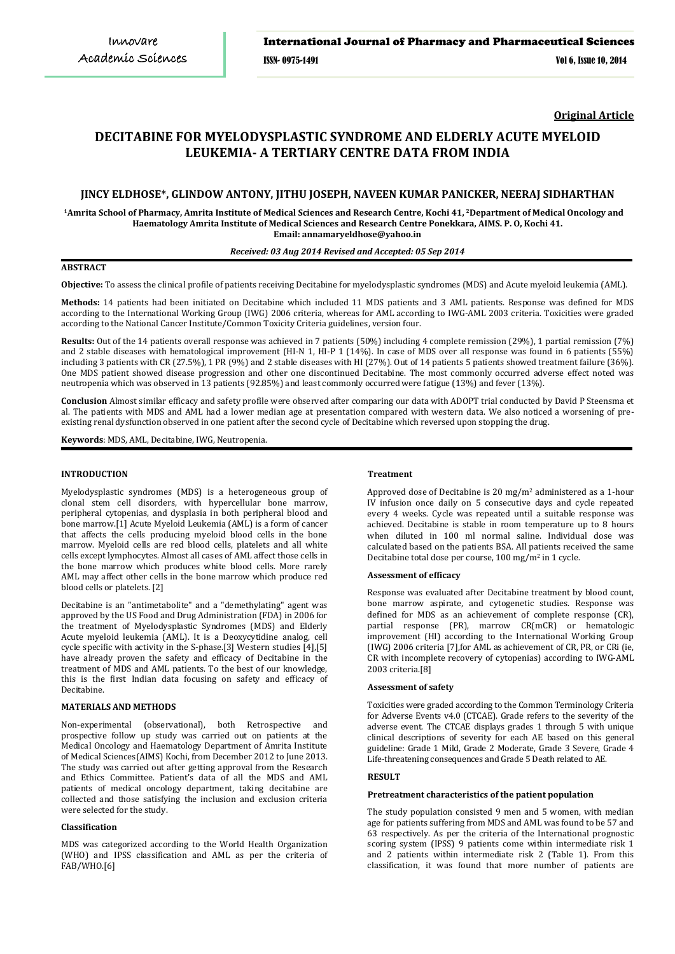**Original Article**

# **DECITABINE FOR MYELODYSPLASTIC SYNDROME AND ELDERLY ACUTE MYELOID LEUKEMIA- A TERTIARY CENTRE DATA FROM INDIA**

# **JINCY ELDHOSE\*, GLINDOW ANTONY, JITHU JOSEPH, NAVEEN KUMAR PANICKER, NEERAJ SIDHARTHAN**

**<sup>1</sup>Amrita School of Pharmacy, Amrita Institute of Medical Sciences and Research Centre, Kochi 41, <sup>2</sup>Department of Medical Oncology and Haematology Amrita Institute of Medical Sciences and Research Centre Ponekkara, AIMS. P. O, Kochi 41. Email: annamaryeldhose@yahoo.in**

#### *Received: 03 Aug 2014 Revised and Accepted: 05 Sep 2014*

# **ABSTRACT**

**Objective:** To assess the clinical profile of patients receiving Decitabine for myelodysplastic syndromes (MDS) and Acute myeloid leukemia (AML).

**Methods:** 14 patients had been initiated on Decitabine which included 11 MDS patients and 3 AML patients. Response was defined for MDS according to the International Working Group (IWG) 2006 criteria, whereas for AML according to IWG-AML 2003 criteria. Toxicities were graded according to the National Cancer Institute/Common Toxicity Criteria guidelines, version four.

**Results:** Out of the 14 patients overall response was achieved in 7 patients (50%) including 4 complete remission (29%), 1 partial remission (7%) and 2 stable diseases with hematological improvement (HI-N 1, HI-P 1 (14%). In case of MDS over all response was found in 6 patients (55%) including 3 patients with CR (27.5%), 1 PR (9%) and 2 stable diseases with HI (27%). Out of 14 patients 5 patients showed treatment failure (36%). One MDS patient showed disease progression and other one discontinued Decitabine. The most commonly occurred adverse effect noted was neutropenia which was observed in 13 patients (92.85%) and least commonly occurred were fatigue (13%) and fever (13%).

**Conclusion** Almost similar efficacy and safety profile were observed after comparing our data with ADOPT trial conducted by David P Steensma et al. The patients with MDS and AML had a lower median age at presentation compared with western data. We also noticed a worsening of preexisting renal dysfunction observed in one patient after the second cycle of Decitabine which reversed upon stopping the drug.

**Keywords**: MDS, AML, Decitabine, IWG, Neutropenia.

### **INTRODUCTION**

Myelodysplastic syndromes (MDS) is a heterogeneous group of clonal stem cell disorders, with hypercellular bone marrow, peripheral cytopenias, and dysplasia in both peripheral blood and bone marrow.[1] Acute Myeloid Leukemia (AML) is a form of cancer that affects the cells producing myeloid blood cells in the bone marrow. Myeloid cells are red blood cells, platelets and all white cells except lymphocytes. Almost all cases of AML affect those cells in the bone marrow which produces white blood cells. More rarely AML may affect other cells in the bone marrow which produce red blood cells or platelets. [2]

Decitabine is an "antimetabolite" and a "demethylating" agent was approved by the US Food and Drug Administration (FDA) in 2006 for the treatment of Myelodysplastic Syndromes (MDS) and Elderly Acute myeloid leukemia (AML). It is a Deoxycytidine analog, cell cycle specific with activity in the S-phase.[3] Western studies [4],[5] have already proven the safety and efficacy of Decitabine in the treatment of MDS and AML patients. To the best of our knowledge, this is the first Indian data focusing on safety and efficacy of Decitabine.

### **MATERIALS AND METHODS**

Non-experimental (observational), both Retrospective and prospective follow up study was carried out on patients at the Medical Oncology and Haematology Department of Amrita Institute of Medical Sciences(AIMS) Kochi, from December 2012 to June 2013. The study was carried out after getting approval from the Research and Ethics Committee. Patient's data of all the MDS and AML patients of medical oncology department, taking decitabine are collected and those satisfying the inclusion and exclusion criteria were selected for the study.

### **Classification**

MDS was categorized according to the World Health Organization (WHO) and IPSS classification and AML as per the criteria of FAB/WHO.[6]

# **Treatment**

Approved dose of Decitabine is 20 mg/m2 administered as a 1-hour IV infusion once daily on 5 consecutive days and cycle repeated every 4 weeks. Cycle was repeated until a suitable response was achieved. Decitabine is stable in room temperature up to 8 hours when diluted in 100 ml normal saline. Individual dose was calculated based on the patients BSA. All patients received the same Decitabine total dose per course, 100 mg/m<sup>2</sup> in 1 cycle.

### **Assessment of efficacy**

Response was evaluated after Decitabine treatment by blood count, bone marrow aspirate, and cytogenetic studies. Response was defined for MDS as an achievement of complete response (CR), partial response (PR), marrow CR(mCR) or hematologic improvement (HI) according to the International Working Group (IWG) 2006 criteria [7],for AML as achievement of CR, PR, or CRi (ie, CR with incomplete recovery of cytopenias) according to IWG-AML 2003 criteria.[8]

### **Assessment of safety**

Toxicities were graded according to the Common Terminology Criteria for Adverse Events v4.0 (CTCAE). Grade refers to the severity of the adverse event. The CTCAE displays grades 1 through 5 with unique clinical descriptions of severity for each AE based on this general guideline: Grade 1 Mild, Grade 2 Moderate, Grade 3 Severe, Grade 4 Life-threatening consequences and Grade 5 Death related to AE.

# **RESULT**

### **Pretreatment characteristics of the patient population**

The study population consisted 9 men and 5 women, with median age for patients suffering from MDS and AML was found to be 57 and 63 respectively. As per the criteria of the International prognostic scoring system (IPSS) 9 patients come within intermediate risk 1 and 2 patients within intermediate risk 2 (Table 1). From this classification, it was found that more number of patients are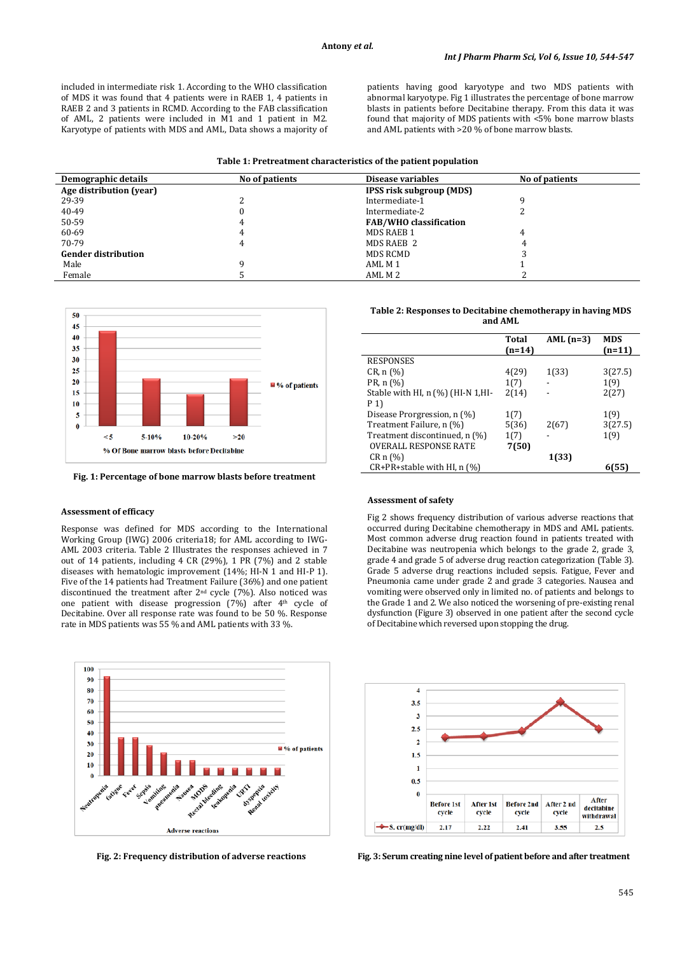included in intermediate risk 1. According to the WHO classification of MDS it was found that 4 patients were in RAEB 1, 4 patients in RAEB 2 and 3 patients in RCMD. According to the FAB classification of AML, 2 patients were included in M1 and 1 patient in M2. Karyotype of patients with MDS and AML, Data shows a majority of patients having good karyotype and two MDS patients with abnormal karyotype. Fig 1 illustrates the percentage of bone marrow blasts in patients before Decitabine therapy. From this data it was found that majority of MDS patients with <5% bone marrow blasts and AML patients with >20 % of bone marrow blasts.

| Demographic details        | No of patients | Disease variables               | No of patients |  |
|----------------------------|----------------|---------------------------------|----------------|--|
| Age distribution (year)    |                | <b>IPSS risk subgroup (MDS)</b> |                |  |
| 29-39                      |                | Intermediate-1                  |                |  |
| 40-49                      |                | Intermediate-2                  |                |  |
| 50-59                      |                | <b>FAB/WHO</b> classification   |                |  |
| 60-69                      | 4              | MDS RAEB 1                      | 4              |  |
| 70-79                      |                | MDS RAEB 2                      |                |  |
| <b>Gender distribution</b> |                | MDS RCMD                        |                |  |
| Male                       |                | AML M 1                         |                |  |
| Female                     |                | AML M 2                         |                |  |



**Fig. 1: Percentage of bone marrow blasts before treatment**

### **Assessment of efficacy**

Response was defined for MDS according to the International Working Group (IWG) 2006 criteria18; for AML according to IWG-AML 2003 criteria. Table 2 Illustrates the responses achieved in 7 out of 14 patients, including 4 CR (29%), 1 PR (7%) and 2 stable diseases with hematologic improvement (14%; HI-N 1 and HI-P 1). Five of the 14 patients had Treatment Failure (36%) and one patient discontinued the treatment after 2nd cycle (7%). Also noticed was one patient with disease progression (7%) after 4th cycle of Decitabine. Over all response rate was found to be 50 %. Response rate in MDS patients was 55 % and AML patients with 33 %.



| Table 2: Responses to Decitabine chemotherapy in having MDS |
|-------------------------------------------------------------|
| and AML                                                     |

|                                                             | Total<br>$(n=14)$ | AML $(n=3)$ | <b>MDS</b><br>(n=11) |
|-------------------------------------------------------------|-------------------|-------------|----------------------|
| <b>RESPONSES</b>                                            |                   |             |                      |
| CR, n (%)                                                   | 4(29)             | 1(33)       | 3(27.5)              |
| PR, n (%)                                                   | 1(7)              |             | 1(9)                 |
| Stable with HI, $n$ $\left(\frac{1}{0}\right)$ (HI-N 1, HI- | 2(14)             |             | 2(27)                |
| P 1)                                                        |                   |             |                      |
| Disease Prorgression, n (%)                                 | 1(7)              |             | 1(9)                 |
| Treatment Failure, n (%)                                    | 5(36)             | 2(67)       | 3(27.5)              |
| Treatment discontinued, n (%)                               | 1(7)              |             | 1(9)                 |
| <b>OVERALL RESPONSE RATE</b>                                | 7(50)             |             |                      |
| CRn(%)                                                      |                   | 1(33)       |                      |
| CR+PR+stable with HI, n (%)                                 |                   |             | 6(55                 |

#### **Assessment of safety**

Fig 2 shows frequency distribution of various adverse reactions that occurred during Decitabine chemotherapy in MDS and AML patients. Most common adverse drug reaction found in patients treated with Decitabine was neutropenia which belongs to the grade 2, grade 3, grade 4 and grade 5 of adverse drug reaction categorization (Table 3). Grade 5 adverse drug reactions included sepsis. Fatigue, Fever and Pneumonia came under grade 2 and grade 3 categories. Nausea and vomiting were observed only in limited no. of patients and belongs to the Grade 1 and 2. We also noticed the worsening of pre-existing renal dysfunction (Figure 3) observed in one patient after the second cycle of Decitabine which reversed upon stopping the drug.



**Fig. 2: Frequency distribution of adverse reactions Fig. 3: Serum creating nine level of patient before and after treatment**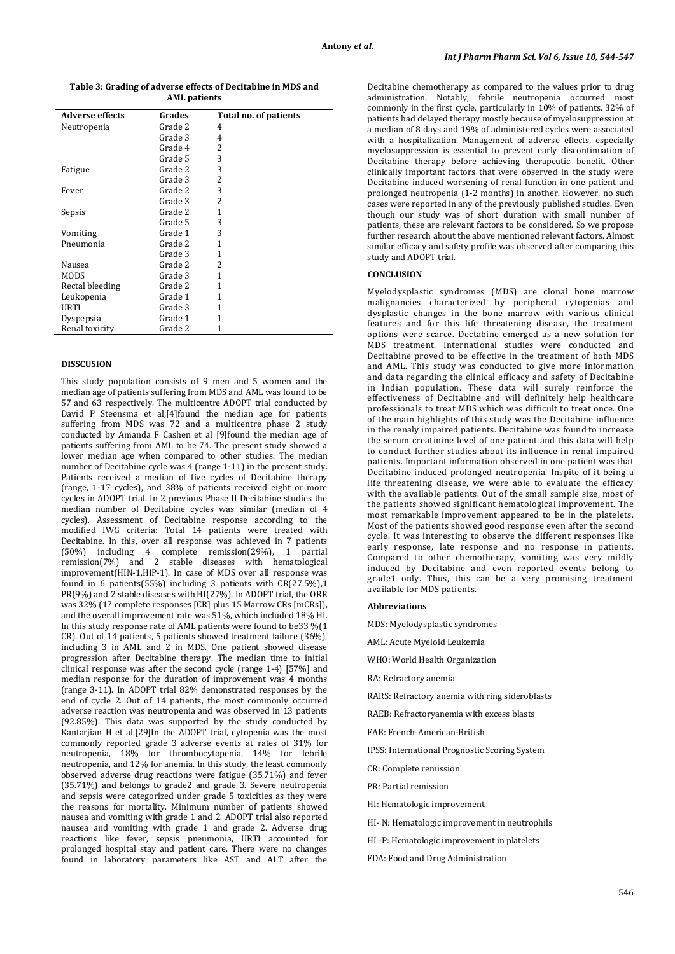### **Table 3: Grading of adverse effects of Decitabine in MDS and AML patients**

| <b>Adverse effects</b> | Grades  | Total no. of patients |  |
|------------------------|---------|-----------------------|--|
| Neutropenia            | Grade 2 | 4                     |  |
|                        | Grade 3 | 4                     |  |
|                        | Grade 4 | 2                     |  |
|                        | Grade 5 | 3                     |  |
| Fatigue                | Grade 2 | 3                     |  |
|                        | Grade 3 | 2                     |  |
| Fever                  | Grade 2 | 3                     |  |
|                        | Grade 3 | 2                     |  |
| Sepsis                 | Grade 2 | 1                     |  |
|                        | Grade 5 | 3                     |  |
| Vomiting               | Grade 1 | 3                     |  |
| Pneumonia              | Grade 2 | 1                     |  |
|                        | Grade 3 | 1                     |  |
| Nausea                 | Grade 2 | 2                     |  |
| MODS                   | Grade 3 | 1                     |  |
| Rectal bleeding        | Grade 2 | 1                     |  |
| Leukopenia             | Grade 1 | 1                     |  |
| URTI                   | Grade 3 | 1                     |  |
| Dyspepsia              | Grade 1 | 1                     |  |
| Renal toxicity         | Grade 2 | 1                     |  |

### **DISSCUSION**

This study population consists of 9 men and 5 women and the median age of patients suffering from MDS and AML was found to be 57 and 63 respectively. The multicentre ADOPT trial conducted by David P Steensma et al,[4]found the median age for patients suffering from MDS was  $72$  and a multicentre phase 2 study conducted by Amanda F Cashen et al [9]found the median age of patients suffering from AML to be 74. The present study showed a lower median age when compared to other studies. The median number of Decitabine cycle was 4 (range 1-11) in the present study. Patients received a median of five cycles of Decitabine therapy (range, 1-17 cycles), and 38% of patients received eight or more cycles in ADOPT trial. In 2 previous Phase II Decitabine studies the median number of Decitabine cycles was similar (median of 4 cycles). Assessment of Decitabine response according to the modified IWG criteria: Total 14 patients were treated with Decitabine. In this, over all response was achieved in 7 patients (50%) including 4 complete remission(29%), 1 partial remission(7%) and 2 stable diseases with hematological improvement(HIN-1,HIP-1). In case of MDS over all response was found in 6 patients(55%) including 3 patients with CR(27.5%),1 PR(9%) and 2 stable diseases with HI(27%). In ADOPT trial, the ORR was 32% (17 complete responses [CR] plus 15 Marrow CRs [mCRs]), and the overall improvement rate was 51%, which included 18% HI. In this study response rate of AML patients were found to be33 %(1 CR). Out of 14 patients, 5 patients showed treatment failure (36%), including 3 in AML and 2 in MDS. One patient showed disease progression after Decitabine therapy. The median time to initial clinical response was after the second cycle (range 1-4) [57%] and median response for the duration of improvement was 4 months (range 3-11). In ADOPT trial 82% demonstrated responses by the end of cycle 2. Out of 14 patients, the most commonly occurred adverse reaction was neutropenia and was observed in 13 patients (92.85%). This data was supported by the study conducted by Kantarjian H et al.[29]In the ADOPT trial, cytopenia was the most commonly reported grade 3 adverse events at rates of 31% for neutropenia, 18% for thrombocytopenia, 14% for febrile neutropenia, and 12% for anemia. In this study, the least commonly observed adverse drug reactions were fatigue (35.71%) and fever (35.71%) and belongs to grade2 and grade 3. Severe neutropenia and sepsis were categorized under grade 5 toxicities as they were the reasons for mortality. Minimum number of patients showed nausea and vomiting with grade 1 and 2. ADOPT trial also reported nausea and vomiting with grade 1 and grade 2. Adverse drug reactions like fever, sepsis pneumonia, URTI accounted for prolonged hospital stay and patient care. There were no changes found in laboratory parameters like AST and ALT after the

Decitabine chemotherapy as compared to the values prior to drug administration. Notably, febrile neutropenia occurred most commonly in the first cycle, particularly in 10% of patients. 32% of patients had delayed therapy mostly because of myelosuppression at a median of 8 days and 19% of administered cycles were associated with a hospitalization. Management of adverse effects, especially myelosuppression is essential to prevent early discontinuation of Decitabine therapy before achieving therapeutic benefit. Other clinically important factors that were observed in the study were Decitabine induced worsening of renal function in one patient and prolonged neutropenia (1-2 months) in another. However, no such cases were reported in any of the previously published studies. Even though our study was of short duration with small number of patients, these are relevant factors to be considered. So we propose further research about the above mentioned relevant factors. Almost similar efficacy and safety profile was observed after comparing this study and ADOPT trial.

## **CONCLUSION**

Myelodysplastic syndromes (MDS) are clonal bone marrow malignancies characterized by peripheral cytopenias and dysplastic changes in the bone marrow with various clinical features and for this life threatening disease, the treatment options were scarce. Dectabine emerged as a new solution for MDS treatment. International studies were conducted and Decitabine proved to be effective in the treatment of both MDS and AML. This study was conducted to give more information and data regarding the clinical efficacy and safety of Decitabine in Indian population. These data will surely reinforce the effectiveness of Decitabine and will definitely help healthcare professionals to treat MDS which was difficult to treat once. One of the main highlights of this study was the Decitabine influence in the renaly impaired patients. Decitabine was found to increase the serum creatinine level of one patient and this data will help to conduct further studies about its influence in renal impaired patients. Important information observed in one patient was that Decitabine induced prolonged neutropenia. Inspite of it being a life threatening disease, we were able to evaluate the efficacy with the available patients. Out of the small sample size, most of the patients showed significant hematological improvement. The most remarkable improvement appeared to be in the platelets. Most of the patients showed good response even after the second cycle. It was interesting to observe the different responses like early response, late response and no response in patients. Compared to other chemotherapy, vomiting was very mildly induced by Decitabine and even reported events belong to grade1 only. Thus, this can be a very promising treatment available for MDS patients.

#### **Abbreviations**

MDS: Myelodysplastic syndromes

- AML: Acute Myeloid Leukemia
- WHO: World Health Organization
- RA: Refractory anemia
- RARS: Refractory anemia with ring sideroblasts
- RAEB: Refractoryanemia with excess blasts
- FAB: French-American-British
- IPSS: International Prognostic Scoring System
- CR: Complete remission
- PR: Partial remission
- HI: Hematologic improvement
- HI- N: Hematologic improvement in neutrophils
- HI -P: Hematologic improvement in platelets
- FDA: Food and Drug Administration